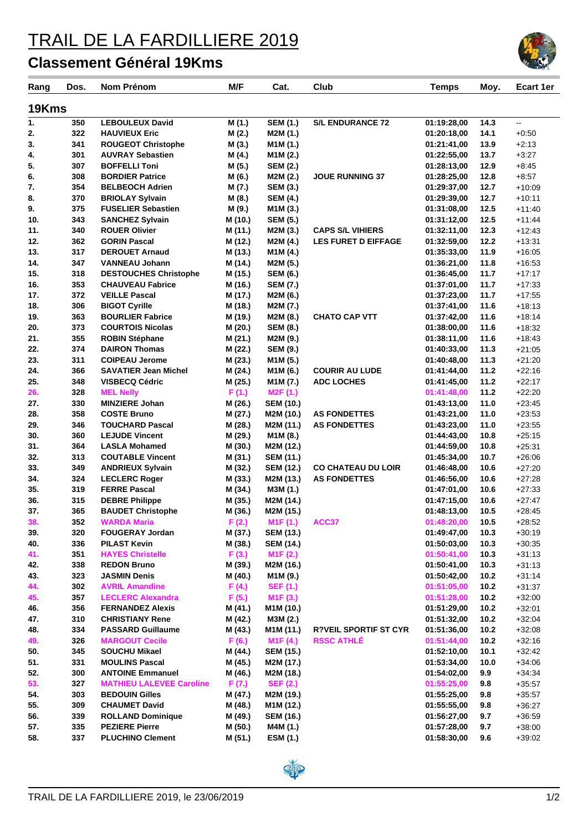## TRAIL DE LA FARDILLIERE 2019

## **Classement Général 19Kms**

| Rang       | Dos.       | Nom Prénom                                         | M/F                | Cat.                                 | Club                         | <b>Temps</b>               | Moy.         | <b>Ecart 1er</b>     |
|------------|------------|----------------------------------------------------|--------------------|--------------------------------------|------------------------------|----------------------------|--------------|----------------------|
| 19Kms      |            |                                                    |                    |                                      |                              |                            |              |                      |
| 1.         | 350        | <b>LEBOULEUX David</b>                             | M (1.)             | <b>SEM (1.)</b>                      | <b>S/L ENDURANCE 72</b>      | 01:19:28,00                | 14.3         | u.                   |
| 2.         | 322        | <b>HAUVIEUX Eric</b>                               | M (2.)             | M2M (1.)                             |                              | 01:20:18,00                | 14.1         | $+0.50$              |
| 3.         | 341        | <b>ROUGEOT Christophe</b>                          | M(3.)              | M1M (1.)                             |                              | 01:21:41,00                | 13.9         | $+2:13$              |
| 4.         | 301        | <b>AUVRAY Sebastien</b>                            | M (4.)             | M1M (2.)                             |                              | 01:22:55,00                | 13.7         | $+3:27$              |
| 5.         | 307        | <b>BOFFELLI Toni</b>                               | M (5.)             | <b>SEM (2.)</b>                      |                              | 01:28:13,00                | 12.9         | $+8:45$              |
| 6.         | 308        | <b>BORDIER Patrice</b>                             | M (6.)             | M2M (2.)                             | <b>JOUE RUNNING 37</b>       | 01:28:25,00                | 12.8         | $+8.57$              |
| 7.         | 354        | <b>BELBEOCH Adrien</b>                             | M (7.)             | <b>SEM (3.)</b>                      |                              | 01:29:37,00                | 12.7         | $+10:09$             |
| 8.         | 370        | <b>BRIOLAY Sylvain</b>                             | M (8.)             | <b>SEM (4.)</b>                      |                              | 01:29:39,00                | 12.7         | $+10:11$             |
| 9.         | 375        | <b>FUSELIER Sebastien</b>                          | M (9.)             | M1M (3.)                             |                              | 01:31:08,00                | 12.5         | $+11:40$             |
| 10.        | 343        | <b>SANCHEZ Sylvain</b>                             | M (10.)            | <b>SEM (5.)</b>                      |                              | 01:31:12,00                | 12.5         | $+11.44$             |
| 11.        | 340        | <b>ROUER Olivier</b>                               | M (11.)            | M2M (3.)                             | <b>CAPS S/L VIHIERS</b>      | 01:32:11,00                | 12.3         | $+12:43$             |
| 12.        | 362        | <b>GORIN Pascal</b>                                | M (12.)            | M2M (4.)                             | <b>LES FURET D EIFFAGE</b>   | 01:32:59,00                | 12.2         | $+13:31$             |
| 13.        | 317        | <b>DEROUET Arnaud</b>                              | M (13.)            | M1M (4.)                             |                              | 01:35:33,00                | 11.9         | $+16:05$             |
| 14.        | 347        | <b>VANNEAU Johann</b>                              | M (14.)            | M2M (5.)                             |                              | 01:36:21,00                | 11.8         | $+16.53$             |
| 15.        | 318        | <b>DESTOUCHES Christophe</b>                       | M (15.)            | <b>SEM (6.)</b>                      |                              | 01:36:45,00                | 11.7         | $+17:17$             |
| 16.        | 353        | <b>CHAUVEAU Fabrice</b>                            | M (16.)            | <b>SEM (7.)</b>                      |                              | 01:37:01.00                | 11.7         | $+17:33$             |
| 17.        | 372        | <b>VEILLE Pascal</b>                               | M (17.)            | M2M (6.)                             |                              | 01:37:23,00                | 11.7         | $+17:55$             |
| 18.        | 306<br>363 | <b>BIGOT Cyrille</b>                               | M (18.)            | M2M (7.)                             |                              | 01:37:41,00                | 11.6         | $+18:13$             |
| 19.<br>20. | 373        | <b>BOURLIER Fabrice</b><br><b>COURTOIS Nicolas</b> | M (19.)            | M2M (8.)<br><b>SEM (8.)</b>          | <b>CHATO CAP VTT</b>         | 01:37:42,00                | 11.6<br>11.6 | $+18:14$             |
| 21.        | 355        | <b>ROBIN Stéphane</b>                              | M (20.)<br>M (21.) | M2M (9.)                             |                              | 01:38:00,00<br>01:38:11,00 | 11.6         | $+18:32$<br>$+18.43$ |
| 22.        | 374        | <b>DAIRON Thomas</b>                               | M (22.)            | <b>SEM (9.)</b>                      |                              | 01:40:33,00                | 11.3         | $+21:05$             |
| 23.        | 311        | <b>COIPEAU Jerome</b>                              | M (23.)            | M1M (5.)                             |                              | 01:40:48,00                | 11.3         | $+21:20$             |
| 24.        | 366        | <b>SAVATIER Jean Michel</b>                        | M (24.)            | M1M (6.)                             | <b>COURIR AU LUDE</b>        | 01:41:44,00                | 11.2         | $+22:16$             |
| 25.        | 348        | <b>VISBECQ Cédric</b>                              | M (25.)            | M1M (7.)                             | <b>ADC LOCHES</b>            | 01:41:45,00                | 11.2         | $+22:17$             |
| 26.        | 328        | <b>MEL Nelly</b>                                   | F(1.)              | M2F (1.)                             |                              | 01:41:48,00                | 11.2         | $+22:20$             |
| 27.        | 330        | <b>MINZIERE Johan</b>                              | M (26.)            | <b>SEM (10.)</b>                     |                              | 01:43:13,00                | 11.0         | $+23.45$             |
| 28.        | 358        | <b>COSTE Bruno</b>                                 | M (27.)            | M2M (10.)                            | <b>AS FONDETTES</b>          | 01:43:21,00                | 11.0         | $+23:53$             |
| 29.        | 346        | <b>TOUCHARD Pascal</b>                             | M (28.)            | M2M (11.)                            | <b>AS FONDETTES</b>          | 01:43:23,00                | 11.0         | $+23:55$             |
| 30.        | 360        | <b>LEJUDE Vincent</b>                              | M (29.)            | M1M (8.)                             |                              | 01:44:43,00                | 10.8         | $+25:15$             |
| 31.        | 364        | <b>LASLA Mohamed</b>                               | M (30.)            | M2M (12.)                            |                              | 01:44:59,00                | 10.8         | $+25:31$             |
| 32.        | 313        | <b>COUTABLE Vincent</b>                            | M (31.)            | <b>SEM (11.)</b>                     |                              | 01:45:34,00                | 10.7         | $+26.06$             |
| 33.        | 349        | <b>ANDRIEUX Sylvain</b>                            | M (32.)            | <b>SEM (12.)</b>                     | <b>CO CHATEAU DU LOIR</b>    | 01:46:48.00                | 10.6         | $+27:20$             |
| 34.        | 324        | <b>LECLERC Roger</b>                               | M (33.)            | M2M (13.)                            | <b>AS FONDETTES</b>          | 01:46:56,00                | 10.6         | $+27:28$             |
| 35.        | 319        | <b>FERRE Pascal</b>                                | M (34.)            | M3M (1.)                             |                              | 01:47:01,00                | 10.6         | $+27:33$             |
| 36.        | 315        | <b>DEBRE Philippe</b>                              | M (35.)            | M2M (14.)                            |                              | 01:47:15,00                | 10.6         | $+27:47$             |
| 37.        | 365        | <b>BAUDET Christophe</b>                           | M (36.)            | M2M (15.)                            |                              | 01:48:13,00                | 10.5         | $+28:45$             |
| 38.<br>39. | 352<br>320 | <b>WARDA Maria</b><br><b>FOUGERAY Jordan</b>       | F(2.)              | M <sub>1</sub> F(1.)                 | ACC37                        | 01:48:20,00<br>01:49:47,00 | 10.5         | $+28:52$             |
| 40.        | 336        | <b>PILAST Kevin</b>                                | M (37.)<br>M (38.) | <b>SEM (13.)</b><br><b>SEM (14.)</b> |                              | 01:50:03,00                | 10.3<br>10.3 | $+30:19$<br>$+30:35$ |
| 41.        | 351        | <b>HAYES Christelle</b>                            | F(3.)              | M <sub>1</sub> F(2.)                 |                              | 01:50:41,00                | 10.3         | $+31:13$             |
| 42.        | 338        | <b>REDON Bruno</b>                                 | M (39.)            | M2M (16.)                            |                              | 01:50:41,00                | 10.3         | $+31:13$             |
| 43.        | 323        | <b>JASMIN Denis</b>                                | M (40.)            | M1M (9.)                             |                              | 01:50:42,00                | 10.2         | $+31:14$             |
| 44.        | 302        | <b>AVRIL Amandine</b>                              | F(4.)              | <b>SEF (1.)</b>                      |                              | 01:51:05,00                | 10.2         | $+31:37$             |
| 45.        | 357        | <b>LECLERC Alexandra</b>                           | F(5.)              | M <sub>1</sub> F(3.)                 |                              | 01:51:28,00                | 10.2         | $+32:00$             |
| 46.        | 356        | <b>FERNANDEZ Alexis</b>                            | M (41.)            | M1M (10.)                            |                              | 01:51:29,00                | 10.2         | $+32:01$             |
| 47.        | 310        | <b>CHRISTIANY Rene</b>                             | M (42.)            | M3M (2.)                             |                              | 01:51:32,00                | 10.2         | $+32:04$             |
| 48.        | 334        | <b>PASSARD Guillaume</b>                           | M (43.)            | M1M (11.)                            | <b>R?VEIL SPORTIF ST CYR</b> | 01:51:36,00                | 10.2         | $+32:08$             |
| 49.        | 326        | <b>MARGOUT Cecile</b>                              | F(6.)              | M <sub>1</sub> F(4.)                 | <b>RSSC ATHLÉ</b>            | 01:51:44,00                | 10.2         | $+32:16$             |
| 50.        | 345        | <b>SOUCHU Mikael</b>                               | M (44.)            | <b>SEM (15.)</b>                     |                              | 01:52:10,00                | 10.1         | $+32:42$             |
| 51.        | 331        | <b>MOULINS Pascal</b>                              | M (45.)            | M2M (17.)                            |                              | 01:53:34,00                | 10.0         | $+34:06$             |
| 52.        | 300        | <b>ANTOINE Emmanuel</b>                            | M (46.)            | M2M (18.)                            |                              | 01:54:02,00                | 9.9          | $+34.34$             |
| 53.        | 327        | <b>MATHIEU LALEVEE Caroline</b>                    | F(7.)              | <b>SEF (2.)</b>                      |                              | 01:55:25,00                | 9.8          | $+35:57$             |
| 54.        | 303        | <b>BEDOUIN Gilles</b>                              | M (47.)            | M2M (19.)                            |                              | 01:55:25,00                | 9.8          | $+35.57$             |
| 55.        | 309        | <b>CHAUMET David</b>                               | M (48.)            | M1M (12.)                            |                              | 01:55:55,00                | 9.8          | $+36.27$             |
| 56.        | 339        | <b>ROLLAND Dominique</b>                           | M (49.)            | <b>SEM (16.)</b>                     |                              | 01:56:27,00                | 9.7          | $+36.59$             |
| 57.        | 335        | <b>PEZIERE Pierre</b>                              | M (50.)            | M4M (1.)                             |                              | 01:57:28,00                | 9.7          | $+38:00$             |
| 58.        | 337        | <b>PLUCHINO Clement</b>                            | M (51.)            | ESM (1.)                             |                              | 01:58:30,00                | 9.6          | $+39.02$             |